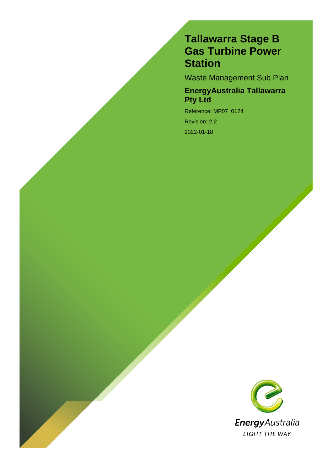### **Tallawarra Stage B Gas Turbine Power Station**

Waste Management Sub Plan

### **EnergyAustralia Tallawarra Pty Ltd**

Reference: MP07\_0124 Revision: 2.2 2022-01-18

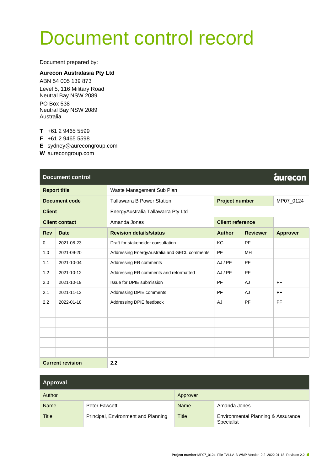# Document control record

Document prepared by:

#### **Aurecon Australasia Pty Ltd**

ABN 54 005 139 873 Level 5, 116 Military Road Neutral Bay NSW 2089 PO Box 538 Neutral Bay NSW 2089 Australia

**T** +61 2 9465 5599

**F** +61 2 9465 5598

**E** sydney@aurecongroup.com

**W** aurecongroup.com

|                         | <b>Document control</b> | <b>aurecon</b>                               |                         |                 |                 |  |  |
|-------------------------|-------------------------|----------------------------------------------|-------------------------|-----------------|-----------------|--|--|
| <b>Report title</b>     |                         | Waste Management Sub Plan                    |                         |                 |                 |  |  |
| <b>Document code</b>    |                         | <b>Tallawarra B Power Station</b>            | <b>Project number</b>   |                 | MP07_0124       |  |  |
| <b>Client</b>           |                         | EnergyAustralia Tallawarra Pty Ltd           |                         |                 |                 |  |  |
|                         | <b>Client contact</b>   | Amanda Jones                                 | <b>Client reference</b> |                 |                 |  |  |
| <b>Rev</b>              | <b>Date</b>             | <b>Revision details/status</b>               | <b>Author</b>           | <b>Reviewer</b> | <b>Approver</b> |  |  |
| $\mathbf 0$             | 2021-08-23              | Draft for stakeholder consultation           | KG                      | PF              |                 |  |  |
| 1.0                     | 2021-09-20              | Addressing EnergyAustralia and GECL comments | PF                      | MH              |                 |  |  |
| 1.1                     | 2021-10-04              | Addressing ER comments                       | AJ / PF                 | PF              |                 |  |  |
| 1.2                     | 2021-10-12              | Addressing ER comments and reformatted       | AJ / PF                 | <b>PF</b>       |                 |  |  |
| 2.0                     | 2021-10-19              | Issue for DPIE submission                    | PF                      | AJ              | PF              |  |  |
| 2.1                     | 2021-11-13              | Addressing DPIE comments                     | PF                      | AJ              | PF              |  |  |
| 2.2                     | 2022-01-18              | Addressing DPIE feedback                     | AJ                      | PF              | PF              |  |  |
|                         |                         |                                              |                         |                 |                 |  |  |
|                         |                         |                                              |                         |                 |                 |  |  |
|                         |                         |                                              |                         |                 |                 |  |  |
|                         |                         |                                              |                         |                 |                 |  |  |
|                         |                         |                                              |                         |                 |                 |  |  |
| <b>Current revision</b> |                         | 2.2                                          |                         |                 |                 |  |  |

| <b>Approval</b> |                                     |              |                                                  |  |  |
|-----------------|-------------------------------------|--------------|--------------------------------------------------|--|--|
| Author          |                                     | Approver     |                                                  |  |  |
| <b>Name</b>     | <b>Peter Fawcett</b>                | <b>Name</b>  | Amanda Jones                                     |  |  |
| <b>Title</b>    | Principal, Environment and Planning | <b>Title</b> | Environmental Planning & Assurance<br>Specialist |  |  |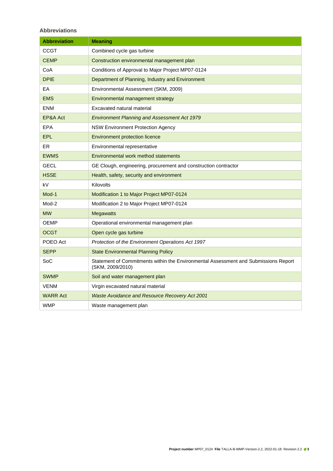#### **Abbreviations**

| <b>Abbreviation</b> | <b>Meaning</b>                                                                                          |
|---------------------|---------------------------------------------------------------------------------------------------------|
| CCGT                | Combined cycle gas turbine                                                                              |
| <b>CEMP</b>         | Construction environmental management plan                                                              |
| CoA                 | Conditions of Approval to Major Project MP07-0124                                                       |
| <b>DPIE</b>         | Department of Planning, Industry and Environment                                                        |
| EA                  | Environmental Assessment (SKM, 2009)                                                                    |
| <b>EMS</b>          | Environmental management strategy                                                                       |
| <b>ENM</b>          | Excavated natural material                                                                              |
| EP&A Act            | <b>Environment Planning and Assessment Act 1979</b>                                                     |
| EPA                 | <b>NSW Environment Protection Agency</b>                                                                |
| <b>EPL</b>          | <b>Environment protection licence</b>                                                                   |
| ER.                 | Environmental representative                                                                            |
| <b>EWMS</b>         | Environmental work method statements                                                                    |
| GECL                | GE Clough, engineering, procurement and construction contractor                                         |
| <b>HSSE</b>         | Health, safety, security and environment                                                                |
| kV                  | Kilovolts                                                                                               |
| Mod-1               | Modification 1 to Major Project MP07-0124                                                               |
| Mod-2               | Modification 2 to Major Project MP07-0124                                                               |
| <b>MW</b>           | <b>Megawatts</b>                                                                                        |
| OEMP                | Operational environmental management plan                                                               |
| <b>OCGT</b>         | Open cycle gas turbine                                                                                  |
| POEO Act            | Protection of the Environment Operations Act 1997                                                       |
| <b>SEPP</b>         | <b>State Environmental Planning Policy</b>                                                              |
| SoC                 | Statement of Commitments within the Environmental Assessment and Submissions Report<br>(SKM, 2009/2010) |
| <b>SWMP</b>         | Soil and water management plan                                                                          |
| <b>VENM</b>         | Virgin excavated natural material                                                                       |
| <b>WARR Act</b>     | Waste Avoidance and Resource Recovery Act 2001                                                          |
| <b>WMP</b>          | Waste management plan                                                                                   |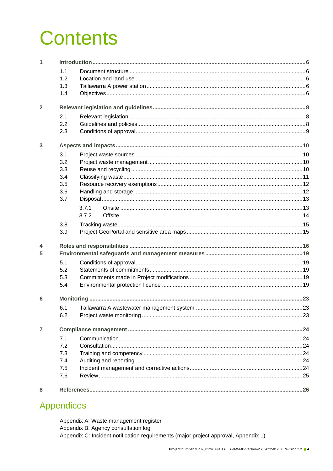# **Contents**

| 1                       |     |                                                |    |  |  |  |  |
|-------------------------|-----|------------------------------------------------|----|--|--|--|--|
|                         | 1.1 |                                                |    |  |  |  |  |
|                         | 1.2 |                                                |    |  |  |  |  |
|                         | 1.3 |                                                |    |  |  |  |  |
|                         | 1.4 |                                                |    |  |  |  |  |
| $\overline{2}$          |     |                                                |    |  |  |  |  |
|                         | 2.1 |                                                |    |  |  |  |  |
|                         | 2.2 |                                                |    |  |  |  |  |
|                         | 2.3 |                                                |    |  |  |  |  |
| 3                       |     |                                                |    |  |  |  |  |
|                         | 3.1 |                                                |    |  |  |  |  |
|                         | 3.2 |                                                |    |  |  |  |  |
|                         | 3.3 |                                                |    |  |  |  |  |
|                         | 3.4 |                                                |    |  |  |  |  |
|                         | 3.5 |                                                |    |  |  |  |  |
|                         | 3.6 |                                                |    |  |  |  |  |
|                         | 3.7 |                                                |    |  |  |  |  |
|                         |     | 3.7.1                                          |    |  |  |  |  |
|                         |     | 3.7.2                                          |    |  |  |  |  |
|                         | 3.8 |                                                |    |  |  |  |  |
|                         | 3.9 |                                                |    |  |  |  |  |
| $\overline{\mathbf{4}}$ |     |                                                |    |  |  |  |  |
| 5                       |     |                                                |    |  |  |  |  |
|                         | 5.1 |                                                |    |  |  |  |  |
|                         | 5.2 |                                                |    |  |  |  |  |
|                         | 5.3 |                                                |    |  |  |  |  |
|                         | 5.4 |                                                |    |  |  |  |  |
| 6                       |     |                                                |    |  |  |  |  |
|                         |     | 6.1 Tallawarra A wastewater management system. | 23 |  |  |  |  |
|                         | 6.2 |                                                |    |  |  |  |  |
| $\overline{7}$          |     |                                                |    |  |  |  |  |
|                         | 7.1 |                                                |    |  |  |  |  |
|                         | 7.2 |                                                |    |  |  |  |  |
|                         | 7.3 |                                                |    |  |  |  |  |
|                         | 7.4 |                                                |    |  |  |  |  |
|                         | 7.5 |                                                |    |  |  |  |  |
|                         | 7.6 |                                                |    |  |  |  |  |
| 8                       |     |                                                |    |  |  |  |  |

### **Appendices**

Appendix A: Waste management register Appendix B: Agency consultation log Appendix C: Incident notification requirements (major project approval, Appendix 1)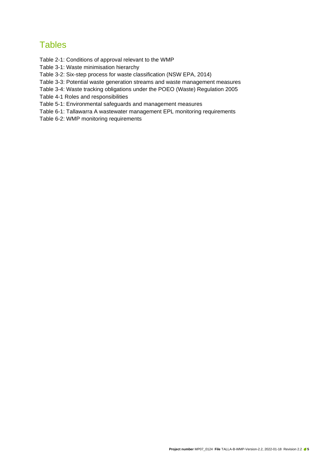### **Tables**

[Table 2-1: Conditions of approval relevant to the WMP](#page-8-1)

[Table 3-1: Waste minimisation hierarchy](#page-9-4)

[Table 3-2: Six-step process for waste classification \(NSW EPA, 2014\)](#page-10-1)

[Table 3-3: Potential waste generation streams and waste management measures](#page-12-2)

[Table 3-4: Waste tracking obligations under the POEO \(Waste\) Regulation 2005](#page-14-2)

[Table 4-1 Roles and responsibilities](#page-15-1)

[Table 5-1: Environmental safeguards and management measures](#page-19-0)

[Table 6-1: Tallawarra A wastewater management EPL monitoring requirements](#page-22-3)

[Table 6-2: WMP monitoring requirements](#page-22-4)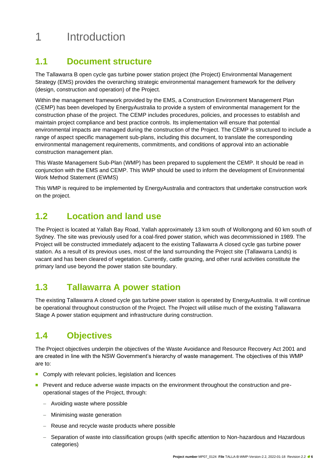# <span id="page-5-0"></span>1 Introduction

### <span id="page-5-1"></span>**1.1 Document structure**

The Tallawarra B open cycle gas turbine power station project (the Project) Environmental Management Strategy (EMS) provides the overarching strategic environmental management framework for the delivery (design, construction and operation) of the Project.

Within the management framework provided by the EMS, a Construction Environment Management Plan (CEMP) has been developed by EnergyAustralia to provide a system of environmental management for the construction phase of the project. The CEMP includes procedures, policies, and processes to establish and maintain project compliance and best practice controls. Its implementation will ensure that potential environmental impacts are managed during the construction of the Project. The CEMP is structured to include a range of aspect specific management sub-plans, including this document, to translate the corresponding environmental management requirements, commitments, and conditions of approval into an actionable construction management plan.

This Waste Management Sub-Plan (WMP) has been prepared to supplement the CEMP. It should be read in conjunction with the EMS and CEMP. This WMP should be used to inform the development of Environmental Work Method Statement (EWMS)

This WMP is required to be implemented by EnergyAustralia and contractors that undertake construction work on the project.

### <span id="page-5-2"></span>**1.2 Location and land use**

The Project is located at Yallah Bay Road, Yallah approximately 13 km south of Wollongong and 60 km south of Sydney. The site was previously used for a coal-fired power station, which was decommissioned in 1989. The Project will be constructed immediately adjacent to the existing Tallawarra A closed cycle gas turbine power station. As a result of its previous uses, most of the land surrounding the Project site (Tallawarra Lands) is vacant and has been cleared of vegetation. Currently, cattle grazing, and other rural activities constitute the primary land use beyond the power station site boundary.

### <span id="page-5-3"></span>**1.3 Tallawarra A power station**

The existing Tallawarra A closed cycle gas turbine power station is operated by EnergyAustralia. It will continue be operational throughout construction of the Project. The Project will utilise much of the existing Tallawarra Stage A power station equipment and infrastructure during construction.

### <span id="page-5-4"></span>**1.4 Objectives**

The Project objectives underpin the objectives of the Waste Avoidance and Resource Recovery Act 2001 and are created in line with the NSW Government's hierarchy of waste management. The objectives of this WMP are to:

- Comply with relevant policies, legislation and licences
- Prevent and reduce adverse waste impacts on the environment throughout the construction and preoperational stages of the Project, through:
	- − Avoiding waste where possible
	- − Minimising waste generation
	- − Reuse and recycle waste products where possible
	- − Separation of waste into classification groups (with specific attention to Non-hazardous and Hazardous categories)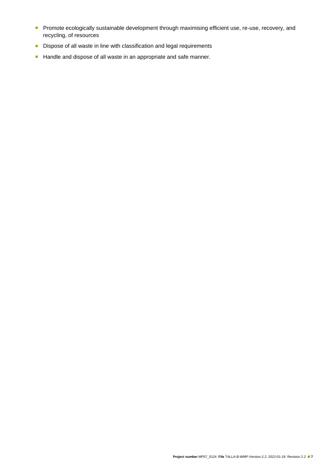- Promote ecologically sustainable development through maximising efficient use, re-use, recovery, and recycling, of resources
- Dispose of all waste in line with classification and legal requirements
- Handle and dispose of all waste in an appropriate and safe manner.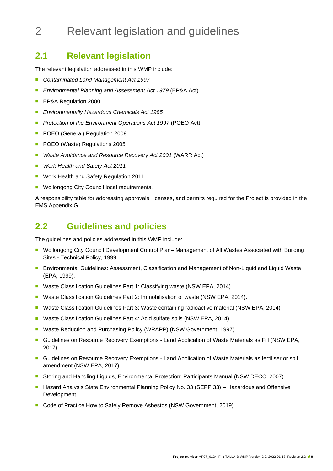# <span id="page-7-0"></span>2 Relevant legislation and guidelines

### <span id="page-7-1"></span>**2.1 Relevant legislation**

The relevant legislation addressed in this WMP include:

- <sup>◼</sup> *Contaminated Land Management Act 1997*
- *Environmental Planning and Assessment Act 1979* (EP&A Act).
- EP&A Regulation 2000
- <sup>◼</sup> *Environmentally Hazardous Chemicals Act 1985*
- *Protection of the Environment Operations Act 1997 (POEO Act)*
- POEO (General) Regulation 2009
- POEO (Waste) Regulations 2005
- <sup>◼</sup> *Waste Avoidance and Resource Recovery Act 2001* (WARR Act)
- *Work Health and Safety Act 2011*
- Work Health and Safety Regulation 2011
- Wollongong City Council local requirements.

A responsibility table for addressing approvals, licenses, and permits required for the Project is provided in the EMS Appendix G.

### <span id="page-7-2"></span>**2.2 Guidelines and policies**

The guidelines and policies addressed in this WMP include:

- Wollongong City Council Development Control Plan– Management of All Wastes Associated with Building Sites - Technical Policy, 1999.
- Environmental Guidelines: Assessment, Classification and Management of Non-Liquid and Liquid Waste (EPA, 1999).
- Waste Classification Guidelines Part 1: Classifying waste (NSW EPA, 2014).
- Waste Classification Guidelines Part 2: Immobilisation of waste (NSW EPA, 2014).
- Waste Classification Guidelines Part 3: Waste containing radioactive material (NSW EPA, 2014)
- Waste Classification Guidelines Part 4: Acid sulfate soils (NSW EPA, 2014).
- Waste Reduction and Purchasing Policy (WRAPP) (NSW Government, 1997).
- Guidelines on Resource Recovery Exemptions Land Application of Waste Materials as Fill (NSW EPA, 2017)
- Guidelines on Resource Recovery Exemptions Land Application of Waste Materials as fertiliser or soil amendment (NSW EPA, 2017).
- Storing and Handling Liquids, Environmental Protection: Participants Manual (NSW DECC, 2007).
- Hazard Analysis State Environmental Planning Policy No. 33 (SEPP 33) Hazardous and Offensive Development
- Code of Practice How to Safely Remove Asbestos (NSW Government, 2019).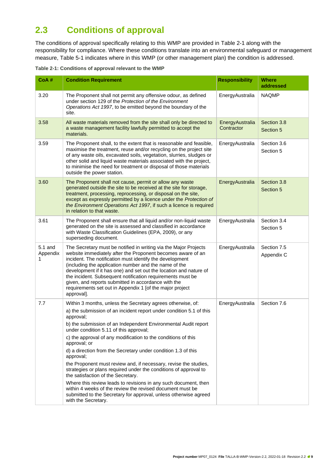### <span id="page-8-0"></span>**2.3 Conditions of approval**

The conditions of approval specifically relating to this WMP are provided in [Table 2-1](#page-8-2) along with the responsibility for compliance. Where these conditions translate into an environmental safeguard or management measure, [Table 5-1](#page-19-1) indicates where in this WMP (or other management plan) the condition is addressed.

<span id="page-8-2"></span><span id="page-8-1"></span>**Table 2-1: Conditions of approval relevant to the WMP**

| CoA#                     | <b>Condition Requirement</b>                                                                                                                                                                                                                                                                                                                                                                                                                                                                                             | <b>Responsibility</b>         | <b>Where</b><br>addressed |
|--------------------------|--------------------------------------------------------------------------------------------------------------------------------------------------------------------------------------------------------------------------------------------------------------------------------------------------------------------------------------------------------------------------------------------------------------------------------------------------------------------------------------------------------------------------|-------------------------------|---------------------------|
| 3.20                     | The Proponent shall not permit any offensive odour, as defined<br>under section 129 of the Protection of the Environment<br>Operations Act 1997, to be emitted beyond the boundary of the<br>site.                                                                                                                                                                                                                                                                                                                       | EnergyAustralia               | <b>NAQMP</b>              |
| 3.58                     | All waste materials removed from the site shall only be directed to<br>a waste management facility lawfully permitted to accept the<br>materials.                                                                                                                                                                                                                                                                                                                                                                        | EnergyAustralia<br>Contractor | Section 3.8<br>Section 5  |
| 3.59                     | The Proponent shall, to the extent that is reasonable and feasible,<br>maximise the treatment, reuse and/or recycling on the project site<br>of any waste oils, excavated soils, vegetation, slurries, sludges or<br>other solid and liquid waste materials associated with the project,<br>to minimise the need for treatment or disposal of those materials<br>outside the power station.                                                                                                                              | EnergyAustralia               | Section 3.6<br>Section 5  |
| 3.60                     | The Proponent shall not cause, permit or allow any waste<br>generated outside the site to be received at the site for storage,<br>treatment, processing, reprocessing, or disposal on the site,<br>except as expressly permitted by a licence under the Protection of<br>the Environment Operations Act 1997, if such a licence is required<br>in relation to that waste.                                                                                                                                                | EnergyAustralia               | Section 3.8<br>Section 5  |
| 3.61                     | The Proponent shall ensure that all liquid and/or non-liquid waste<br>generated on the site is assessed and classified in accordance<br>with Waste Classification Guidelines (EPA, 2009), or any<br>superseding document.                                                                                                                                                                                                                                                                                                | EnergyAustralia               | Section 3.4<br>Section 5  |
| 5.1 and<br>Appendix<br>1 | The Secretary must be notified in writing via the Major Projects<br>website immediately after the Proponent becomes aware of an<br>incident. The notification must identify the development<br>(including the application number and the name of the<br>development if it has one) and set out the location and nature of<br>the incident. Subsequent notification requirements must be<br>given, and reports submitted in accordance with the<br>requirements set out in Appendix 1 [of the major project<br>approval]. | EnergyAustralia               | Section 7.5<br>Appendix C |
| 7.7                      | Within 3 months, unless the Secretary agrees otherwise, of:<br>a) the submission of an incident report under condition 5.1 of this<br>approval;<br>b) the submission of an Independent Environmental Audit report<br>under condition 5.11 of this approval;                                                                                                                                                                                                                                                              | EnergyAustralia               | Section 7.6               |
|                          | c) the approval of any modification to the conditions of this<br>approval; or                                                                                                                                                                                                                                                                                                                                                                                                                                            |                               |                           |
|                          | d) a direction from the Secretary under condition 1.3 of this<br>approval;                                                                                                                                                                                                                                                                                                                                                                                                                                               |                               |                           |
|                          | the Proponent must review and, if necessary, revise the studies,<br>strategies or plans required under the conditions of approval to<br>the satisfaction of the Secretary.                                                                                                                                                                                                                                                                                                                                               |                               |                           |
|                          | Where this review leads to revisions in any such document, then<br>within 4 weeks of the review the revised document must be<br>submitted to the Secretary for approval, unless otherwise agreed<br>with the Secretary.                                                                                                                                                                                                                                                                                                  |                               |                           |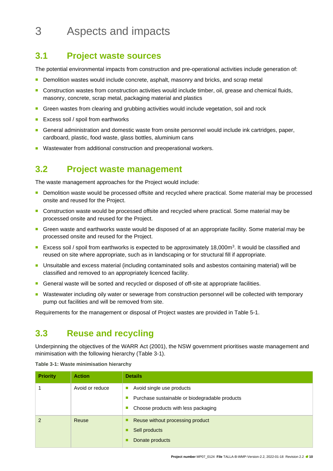# <span id="page-9-0"></span>3 Aspects and impacts

### <span id="page-9-1"></span>**3.1 Project waste sources**

The potential environmental impacts from construction and pre-operational activities include generation of:

- Demolition wastes would include concrete, asphalt, masonry and bricks, and scrap metal
- Construction wastes from construction activities would include timber, oil, grease and chemical fluids, masonry, concrete, scrap metal, packaging material and plastics
- Green wastes from clearing and grubbing activities would include vegetation, soil and rock
- Excess soil / spoil from earthworks
- General administration and domestic waste from onsite personnel would include ink cartridges, paper, cardboard, plastic, food waste, glass bottles, aluminium cans
- Wastewater from additional construction and preoperational workers.

### <span id="page-9-2"></span>**3.2 Project waste management**

The waste management approaches for the Project would include:

- Demolition waste would be processed offsite and recycled where practical. Some material may be processed onsite and reused for the Project.
- Construction waste would be processed offsite and recycled where practical. Some material may be processed onsite and reused for the Project.
- Green waste and earthworks waste would be disposed of at an appropriate facility. Some material may be processed onsite and reused for the Project.
- Excess soil / spoil from earthworks is expected to be approximately 18,000m<sup>3</sup>. It would be classified and reused on site where appropriate, such as in landscaping or for structural fill if appropriate.
- <sup>◼</sup> Unsuitable and excess material (including contaminated soils and asbestos containing material) will be classified and removed to an appropriately licenced facility.
- General waste will be sorted and recycled or disposed of off-site at appropriate facilities.
- Wastewater including oily water or sewerage from construction personnel will be collected with temporary pump out facilities and will be removed from site.

Requirements for the management or disposal of Project wastes are provided in [Table 5-1.](#page-19-1)

### <span id="page-9-3"></span>**3.3 Reuse and recycling**

Underpinning the objectives of the WARR Act (2001), the NSW government prioritises waste management and minimisation with the following hierarchy [\(Table 3-1\)](#page-9-5).

| <b>Priority</b> | <b>Action</b>   | <b>Details</b>                                                                                                     |
|-----------------|-----------------|--------------------------------------------------------------------------------------------------------------------|
|                 | Avoid or reduce | Avoid single use products<br>Purchase sustainable or biodegradable products<br>Choose products with less packaging |
|                 | <b>Reuse</b>    | Reuse without processing product<br>Sell products<br>Donate products                                               |

<span id="page-9-5"></span><span id="page-9-4"></span>**Table 3-1: Waste minimisation hierarchy**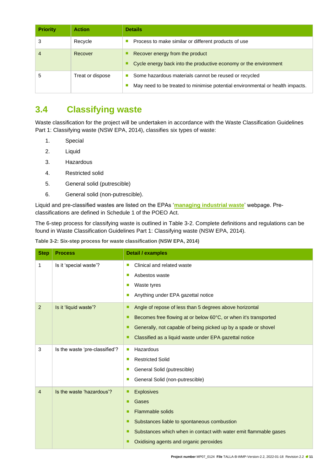| <b>Priority</b> | <b>Action</b>    | <b>Details</b>                                                                                                                              |
|-----------------|------------------|---------------------------------------------------------------------------------------------------------------------------------------------|
|                 | Recycle          | Process to make similar or different products of use                                                                                        |
| 4               | Recover          | Recover energy from the product<br>Cycle energy back into the productive economy or the environment                                         |
| b               | Treat or dispose | Some hazardous materials cannot be reused or recycled<br>۳<br>May need to be treated to minimise potential environmental or health impacts. |

### <span id="page-10-0"></span>**3.4 Classifying waste**

Waste classification for the project will be undertaken in accordance with the Waste Classification Guidelines Part 1: Classifying waste (NSW EPA, 2014), classifies six types of waste:

- 1. Special
- 2. Liquid
- 3. Hazardous
- 4. Restricted solid
- 5. General solid (putrescible)
- 6. General solid (non-putrescible).

Liquid and pre-classified wastes are listed on the EPAs '**[managing industrial waste](https://www.epa.nsw.gov.au/your-environment/waste/industrial-waste)**' webpage. Preclassifications are defined in Schedule 1 of the POEO Act.

The 6-step process for classifying waste is outlined in [Table 3-2.](#page-10-2) Complete definitions and regulations can be found in Waste Classification Guidelines Part 1: Classifying waste (NSW EPA, 2014).

<span id="page-10-2"></span><span id="page-10-1"></span>

| Table 3-2: Six-step process for waste classification (NSW EPA, 2014) |  |  |  |
|----------------------------------------------------------------------|--|--|--|
|                                                                      |  |  |  |

| <b>Step</b>    | <b>Process</b>                 | <b>Detail / examples</b>                                                                                                                                                                                                                                                   |
|----------------|--------------------------------|----------------------------------------------------------------------------------------------------------------------------------------------------------------------------------------------------------------------------------------------------------------------------|
| 1              | Is it 'special waste'?         | Clinical and related waste<br>П<br>Asbestos waste<br>П<br>Waste tyres<br>П<br>Anything under EPA gazettal notice<br>П                                                                                                                                                      |
| $\overline{2}$ | Is it 'liquid waste'?          | Angle of repose of less than 5 degrees above horizontal<br>п<br>Becomes free flowing at or below 60°C, or when it's transported<br>■<br>Generally, not capable of being picked up by a spade or shovel<br>п<br>Classified as a liquid waste under EPA gazettal notice<br>п |
| 3              | Is the waste 'pre-classified'? | Hazardous<br>$\mathcal{C}$<br><b>Restricted Solid</b><br>п<br>General Solid (putrescible)<br>a.<br>General Solid (non-putrescible)<br>o.                                                                                                                                   |
| 4              | Is the waste 'hazardous'?      | <b>Explosives</b><br>п<br>Gases<br>п<br><b>Flammable solids</b><br>■<br>Substances liable to spontaneous combustion<br>п<br>Substances which when in contact with water emit flammable gases<br>■<br>Oxidising agents and organic peroxides                                |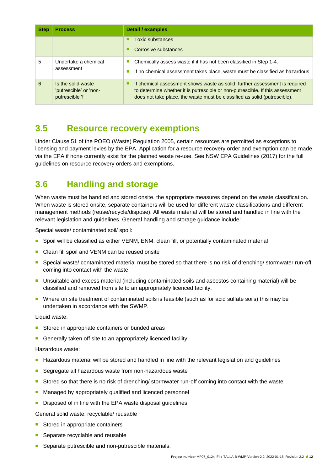| <b>Step</b> | <b>Process</b>                                                | <b>Detail / examples</b>                                                                                                                                                                                                                  |  |  |
|-------------|---------------------------------------------------------------|-------------------------------------------------------------------------------------------------------------------------------------------------------------------------------------------------------------------------------------------|--|--|
|             |                                                               | Toxic substances<br>Corrosive substances                                                                                                                                                                                                  |  |  |
| 5           | Undertake a chemical<br>assessment                            | Chemically assess waste if it has not been classified in Step 1-4.<br>If no chemical assessment takes place, waste must be classified as hazardous                                                                                        |  |  |
| 6           | Is the solid waste<br>'putrescible' or 'non-<br>putrescible'? | If chemical assessment shows waste as solid, further assessment is required<br>to determine whether it is putrescible or non-putrescible. If this assessment<br>does not take place, the waste must be classified as solid (putrescible). |  |  |

### <span id="page-11-0"></span>**3.5 Resource recovery exemptions**

Under Clause 51 of the POEO (Waste) Regulation 2005, certain resources are permitted as exceptions to licensing and payment levies by the EPA. Application for a resource recovery order and exemption can be made via the EPA if none currently exist for the planned waste re-use. See NSW EPA Guidelines (2017) for the full guidelines on resource recovery orders and exemptions.

### <span id="page-11-1"></span>**3.6 Handling and storage**

When waste must be handled and stored onsite, the appropriate measures depend on the waste classification. When waste is stored onsite, separate containers will be used for different waste classifications and different management methods (reuse/recycle/dispose). All waste material will be stored and handled in line with the relevant legislation and guidelines. General handling and storage guidance include:

Special waste/ contaminated soil/ spoil:

- Spoil will be classified as either VENM, ENM, clean fill, or potentially contaminated material
- Clean fill spoil and VENM can be reused onsite
- Special waste/ contaminated material must be stored so that there is no risk of drenching/ stormwater run-off coming into contact with the waste
- Unsuitable and excess material (including contaminated soils and asbestos containing material) will be classified and removed from site to an appropriately licenced facility.
- Where on site treatment of contaminated soils is feasible (such as for acid sulfate soils) this may be undertaken in accordance with the SWMP.

Liquid waste:

- Stored in appropriate containers or bunded areas
- Generally taken off site to an appropriately licenced facility.

Hazardous waste:

- Hazardous material will be stored and handled in line with the relevant legislation and guidelines
- Segregate all hazardous waste from non-hazardous waste
- Stored so that there is no risk of drenching/ stormwater run-off coming into contact with the waste
- Managed by appropriately qualified and licenced personnel
- Disposed of in line with the EPA waste disposal guidelines.

General solid waste: recyclable/ reusable

- Stored in appropriate containers
- Separate recyclable and reusable
- Separate putrescible and non-putrescible materials.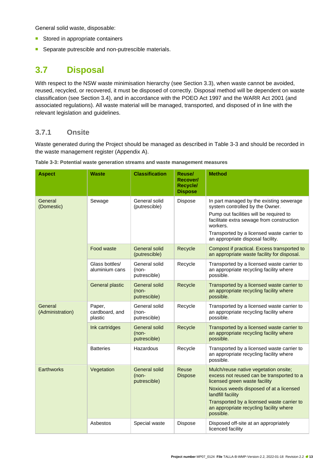General solid waste, disposable:

- Stored in appropriate containers
- Separate putrescible and non-putrescible materials.

### <span id="page-12-0"></span>**3.7 Disposal**

With respect to the NSW waste minimisation hierarchy (see Section 3.3), when waste cannot be avoided, reused, recycled, or recovered, it must be disposed of correctly. Disposal method will be dependent on waste classification (see Section 3.4), and in accordance with the POEO Act 1997 and the WARR Act 2001 (and associated regulations). All waste material will be managed, transported, and disposed of in line with the relevant legislation and guidelines.

#### <span id="page-12-1"></span>**3.7.1 Onsite**

Waste generated during the Project should be managed as described in [Table 3-3](#page-12-3) and should be recorded in the waste management register (Appendix A).

| <b>Aspect</b>               | <b>Waste</b>                        | <b>Classification</b>                           | <b>Reuse/</b><br>Recover/<br>Recycle/<br><b>Dispose</b> | <b>Method</b>                                                                                                                                                                                                                                                                             |
|-----------------------------|-------------------------------------|-------------------------------------------------|---------------------------------------------------------|-------------------------------------------------------------------------------------------------------------------------------------------------------------------------------------------------------------------------------------------------------------------------------------------|
| General<br>(Domestic)       | Sewage                              | General solid<br>(putrescible)                  | Dispose                                                 | In part managed by the existing sewerage<br>system controlled by the Owner.<br>Pump out facilities will be required to<br>facilitate extra sewage from construction<br>workers.<br>Transported by a licensed waste carrier to<br>an appropriate disposal facility.                        |
|                             | Food waste                          | <b>General solid</b><br>(putrescible)           | Recycle                                                 | Compost if practical. Excess transported to<br>an appropriate waste facility for disposal.                                                                                                                                                                                                |
|                             | Glass bottles/<br>aluminium cans    | General solid<br>(non-<br>putrescible)          | Recycle                                                 | Transported by a licensed waste carrier to<br>an appropriate recycling facility where<br>possible.                                                                                                                                                                                        |
|                             | <b>General plastic</b>              | <b>General solid</b><br>$(non-$<br>putrescible) | Recycle                                                 | Transported by a licensed waste carrier to<br>an appropriate recycling facility where<br>possible.                                                                                                                                                                                        |
| General<br>(Administration) | Paper,<br>cardboard, and<br>plastic | General solid<br>(non-<br>putrescible)          | Recycle                                                 | Transported by a licensed waste carrier to<br>an appropriate recycling facility where<br>possible.                                                                                                                                                                                        |
|                             | Ink cartridges                      | General solid<br>$(non-$<br>putrescible)        | Recycle                                                 | Transported by a licensed waste carrier to<br>an appropriate recycling facility where<br>possible.                                                                                                                                                                                        |
|                             | <b>Batteries</b>                    | Hazardous                                       | Recycle                                                 | Transported by a licensed waste carrier to<br>an appropriate recycling facility where<br>possible.                                                                                                                                                                                        |
| <b>Earthworks</b>           | Vegetation                          | <b>General solid</b><br>(non-<br>putrescible)   | Reuse<br><b>Dispose</b>                                 | Mulch/reuse native vegetation onsite;<br>excess not reused can be transported to a<br>licensed green waste facility<br>Noxious weeds disposed of at a licensed<br>landfill facility<br>Transported by a licensed waste carrier to<br>an appropriate recycling facility where<br>possible. |
|                             | Asbestos                            | Special waste                                   | Dispose                                                 | Disposed off-site at an appropriately<br>licenced facility                                                                                                                                                                                                                                |

<span id="page-12-3"></span><span id="page-12-2"></span>**Table 3-3: Potential waste generation streams and waste management measures**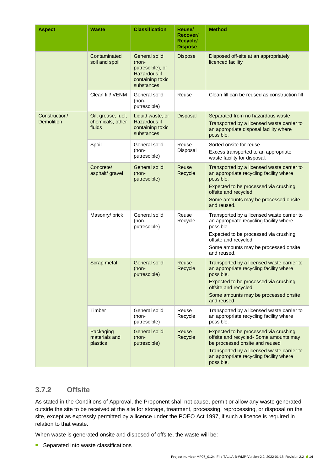| <b>Aspect</b>                      | <b>Waste</b>                                     | <b>Classification</b>                                                                               | <b>Reuse/</b><br>Recover/<br>Recycle/<br><b>Dispose</b> | <b>Method</b>                                                                                                                                                                                                              |
|------------------------------------|--------------------------------------------------|-----------------------------------------------------------------------------------------------------|---------------------------------------------------------|----------------------------------------------------------------------------------------------------------------------------------------------------------------------------------------------------------------------------|
|                                    | Contaminated<br>soil and spoil                   | <b>General solid</b><br>(non-<br>putrescible), or<br>Hazardous if<br>containing toxic<br>substances | <b>Dispose</b>                                          | Disposed off-site at an appropriately<br>licenced facility                                                                                                                                                                 |
|                                    | Clean fill/ VENM                                 | General solid<br>(non-<br>putrescible)                                                              | Reuse                                                   | Clean fill can be reused as construction fill                                                                                                                                                                              |
| Construction/<br><b>Demolition</b> | Oil, grease, fuel,<br>chemicals, other<br>fluids | Liquid waste, or<br>Hazardous if<br>containing toxic<br>substances                                  | Disposal                                                | Separated from no hazardous waste<br>Transported by a licensed waste carrier to<br>an appropriate disposal facility where<br>possible.                                                                                     |
|                                    | Spoil                                            | General solid<br>(non-<br>putrescible)                                                              | Reuse<br>Disposal                                       | Sorted onsite for reuse<br>Excess transported to an appropriate<br>waste facility for disposal.                                                                                                                            |
|                                    | Concrete/<br>asphalt/ gravel                     | <b>General solid</b><br>$(non-$<br>putrescible)                                                     | Reuse<br>Recycle                                        | Transported by a licensed waste carrier to<br>an appropriate recycling facility where<br>possible.<br>Expected to be processed via crushing<br>offsite and recycled<br>Some amounts may be processed onsite<br>and reused. |
|                                    | Masonry/ brick                                   | General solid<br>(non-<br>putrescible)                                                              | Reuse<br>Recycle                                        | Transported by a licensed waste carrier to<br>an appropriate recycling facility where<br>possible.<br>Expected to be processed via crushing<br>offsite and recycled<br>Some amounts may be processed onsite<br>and reused. |
|                                    | Scrap metal                                      | <b>General solid</b><br>(non-<br>putrescible)                                                       | Reuse<br>Recycle                                        | Transported by a licensed waste carrier to<br>an appropriate recycling facility where<br>possible.<br>Expected to be processed via crushing<br>offsite and recycled<br>Some amounts may be processed onsite<br>and reused  |
|                                    | Timber                                           | General solid<br>(non-<br>putrescible)                                                              | Reuse<br>Recycle                                        | Transported by a licensed waste carrier to<br>an appropriate recycling facility where<br>possible.                                                                                                                         |
|                                    | Packaging<br>materials and<br>plastics           | <b>General solid</b><br>$(non-$<br>putrescible)                                                     | Reuse<br>Recycle                                        | Expected to be processed via crushing<br>offsite and recycled- Some amounts may<br>be processed onsite and reused<br>Transported by a licensed waste carrier to<br>an appropriate recycling facility where<br>possible.    |

#### <span id="page-13-0"></span>**3.7.2 Offsite**

As stated in the Conditions of Approval, the Proponent shall not cause, permit or allow any waste generated outside the site to be received at the site for storage, treatment, processing, reprocessing, or disposal on the site, except as expressly permitted by a licence under the POEO Act 1997, if such a licence is required in relation to that waste.

When waste is generated onsite and disposed of offsite, the waste will be:

■ Separated into waste classifications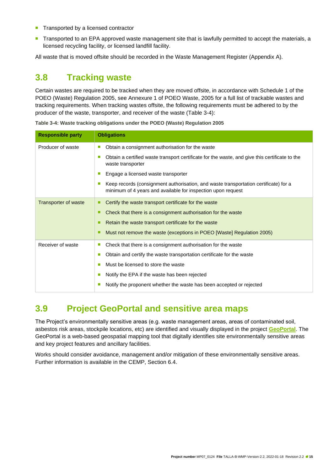- Transported by a licensed contractor
- Transported to an EPA approved waste management site that is lawfully permitted to accept the materials, a licensed recycling facility, or licensed landfill facility.

All waste that is moved offsite should be recorded in the Waste Management Register (Appendix A).

### <span id="page-14-0"></span>**3.8 Tracking waste**

Certain wastes are required to be tracked when they are moved offsite, in accordance with Schedule 1 of the POEO (Waste) Regulation 2005, see Annexure 1 of POEO Waste, 2005 for a full list of trackable wastes and tracking requirements. When tracking wastes offsite, the following requirements must be adhered to by the producer of the waste, transporter, and receiver of the waste [\(Table 3-4\)](#page-14-3):

| <b>Responsible party</b>    | <b>Obligations</b>                                                                                                                                        |  |  |  |  |
|-----------------------------|-----------------------------------------------------------------------------------------------------------------------------------------------------------|--|--|--|--|
| Producer of waste           | Obtain a consignment authorisation for the waste<br>T.                                                                                                    |  |  |  |  |
|                             | Obtain a certified waste transport certificate for the waste, and give this certificate to the<br>ш<br>waste transporter                                  |  |  |  |  |
|                             | Engage a licensed waste transporter                                                                                                                       |  |  |  |  |
|                             | Keep records (consignment authorisation, and waste transportation certificate) for a<br>ш<br>minimum of 4 years and available for inspection upon request |  |  |  |  |
| <b>Transporter of waste</b> | Certify the waste transport certificate for the waste                                                                                                     |  |  |  |  |
|                             | Check that there is a consignment authorisation for the waste<br>п                                                                                        |  |  |  |  |
|                             | Retain the waste transport certificate for the waste<br>■                                                                                                 |  |  |  |  |
|                             | Must not remove the waste (exceptions in POEO [Waste] Regulation 2005)                                                                                    |  |  |  |  |
| Receiver of waste           | Check that there is a consignment authorisation for the waste<br>×,                                                                                       |  |  |  |  |
|                             | Obtain and certify the waste transportation certificate for the waste<br>ш                                                                                |  |  |  |  |
|                             | Must be licensed to store the waste<br>п                                                                                                                  |  |  |  |  |
|                             | Notify the EPA if the waste has been rejected                                                                                                             |  |  |  |  |
|                             | Notify the proponent whether the waste has been accepted or rejected<br>ш                                                                                 |  |  |  |  |

<span id="page-14-3"></span><span id="page-14-2"></span>**Table 3-4: Waste tracking obligations under the POEO (Waste) Regulation 2005**

### <span id="page-14-1"></span>**3.9 Project GeoPortal and sensitive area maps**

The Project's environmentally sensitive areas (e.g. waste management areas, areas of contaminated soil, asbestos risk areas, stockpile locations, etc) are identified and visually displayed in the project **[GeoPortal](https://geoportal.aurecongroup.com/portal/apps/webappviewer/index.html?id=7e91fe6c8f5a494887d0ba75db08f8d7)**. The GeoPortal is a web-based geospatial mapping tool that digitally identifies site environmentally sensitive areas and key project features and ancillary facilities.

Works should consider avoidance, management and/or mitigation of these environmentally sensitive areas. Further information is available in the CEMP, Section 6.4.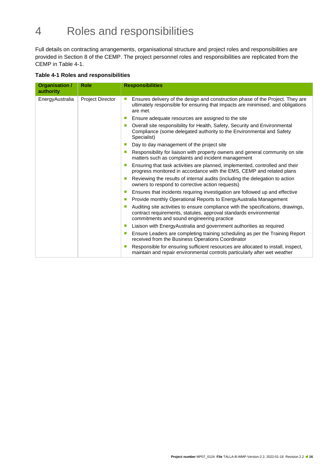# <span id="page-15-0"></span>4 Roles and responsibilities

Full details on contracting arrangements, organisational structure and project roles and responsibilities are provided in Section 8 of the CEMP. The project personnel roles and responsibilities are replicated from the CEMP in [Table 4-1.](#page-15-2)

#### <span id="page-15-2"></span><span id="page-15-1"></span>**Table 4-1 Roles and responsibilities**

| Organisation /<br>authority | <b>Role</b>             | <b>Responsibilities</b>                                                                                                                                                                                      |                                                                                                                                                                                                     |
|-----------------------------|-------------------------|--------------------------------------------------------------------------------------------------------------------------------------------------------------------------------------------------------------|-----------------------------------------------------------------------------------------------------------------------------------------------------------------------------------------------------|
| EnergyAustralia             | <b>Project Director</b> | Ensures delivery of the design and construction phase of the Project. They are<br>$\mathcal{L}_{\mathcal{A}}$<br>ultimately responsible for ensuring that impacts are minimised, and obligations<br>are met. |                                                                                                                                                                                                     |
|                             |                         | Ensure adequate resources are assigned to the site<br>$\mathcal{L}_{\mathcal{A}}$                                                                                                                            |                                                                                                                                                                                                     |
|                             |                         | Overall site responsibility for Health, Safety, Security and Environmental<br>$\mathcal{L}$<br>Compliance (some delegated authority to the Environmental and Safety<br>Specialist)                           |                                                                                                                                                                                                     |
|                             |                         | Day to day management of the project site<br>$\mathcal{L}$                                                                                                                                                   |                                                                                                                                                                                                     |
|                             |                         | $\mathcal{L}_{\mathcal{A}}$                                                                                                                                                                                  | Responsibility for liaison with property owners and general community on site<br>matters such as complaints and incident management                                                                 |
|                             |                         | Ensuring that task activities are planned, implemented, controlled and their<br>$\mathcal{L}_{\mathcal{A}}$<br>progress monitored in accordance with the EMS, CEMP and related plans                         |                                                                                                                                                                                                     |
|                             |                         | Reviewing the results of internal audits (including the delegation to action<br>owners to respond to corrective action requests)                                                                             |                                                                                                                                                                                                     |
|                             |                         | Ensures that incidents requiring investigation are followed up and effective<br>ш                                                                                                                            |                                                                                                                                                                                                     |
|                             |                         | Provide monthly Operational Reports to EnergyAustralia Management<br>$\mathcal{L}_{\mathcal{A}}$                                                                                                             |                                                                                                                                                                                                     |
|                             |                         | m.                                                                                                                                                                                                           | Auditing site activities to ensure compliance with the specifications, drawings,<br>contract requirements, statutes, approval standards environmental<br>commitments and sound engineering practice |
|                             |                         | Liaison with Energy Australia and government authorities as required<br>$\mathcal{L}_{\mathcal{A}}$                                                                                                          |                                                                                                                                                                                                     |
|                             |                         | Ensure Leaders are completing training scheduling as per the Training Report<br>$\mathcal{L}_{\mathcal{A}}$<br>received from the Business Operations Coordinator                                             |                                                                                                                                                                                                     |
|                             |                         | Responsible for ensuring sufficient resources are allocated to install, inspect,<br>maintain and repair environmental controls particularly after wet weather                                                |                                                                                                                                                                                                     |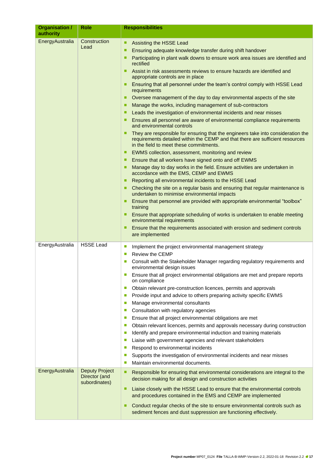| Organisation /<br>authority        | Role                                      | <b>Responsibilities</b>                                                                                                                                                                                                                                                                                                                                                                                                                                                                                                                                                                                                                                                                                                                                                                                                                                                                                                                                                                                                                                                                                                                                                                                                                                                                                                                                                                                                                                                                                                                                                                                                                                                                                                                                                   |  |  |  |  |
|------------------------------------|-------------------------------------------|---------------------------------------------------------------------------------------------------------------------------------------------------------------------------------------------------------------------------------------------------------------------------------------------------------------------------------------------------------------------------------------------------------------------------------------------------------------------------------------------------------------------------------------------------------------------------------------------------------------------------------------------------------------------------------------------------------------------------------------------------------------------------------------------------------------------------------------------------------------------------------------------------------------------------------------------------------------------------------------------------------------------------------------------------------------------------------------------------------------------------------------------------------------------------------------------------------------------------------------------------------------------------------------------------------------------------------------------------------------------------------------------------------------------------------------------------------------------------------------------------------------------------------------------------------------------------------------------------------------------------------------------------------------------------------------------------------------------------------------------------------------------------|--|--|--|--|
| EnergyAustralia                    | Construction<br>Lead                      | Assisting the HSSE Lead<br>п<br>Ensuring adequate knowledge transfer during shift handover<br>п<br>Participating in plant walk downs to ensure work area issues are identified and<br>п<br>rectified<br>Assist in risk assessments reviews to ensure hazards are identified and<br>п<br>appropriate controls are in place<br>Ensuring that all personnel under the team's control comply with HSSE Lead<br>п<br>requirements<br>Oversee management of the day to day environmental aspects of the site<br>п<br>Manage the works, including management of sub-contractors<br>п<br>Leads the investigation of environmental incidents and near misses<br>п<br>Ensures all personnel are aware of environmental compliance requirements<br>п<br>and environmental controls<br>They are responsible for ensuring that the engineers take into consideration the<br>п<br>requirements detailed within the CEMP and that there are sufficient resources<br>in the field to meet these commitments.<br>EWMS collection, assessment, monitoring and review<br>п<br>Ensure that all workers have signed onto and off EWMS<br>п<br>Manage day to day works in the field. Ensure activities are undertaken in<br>п<br>accordance with the EMS, CEMP and EWMS<br>Reporting all environmental incidents to the HSSE Lead<br>п<br>Checking the site on a regular basis and ensuring that regular maintenance is<br>undertaken to minimise environmental impacts<br>Ensure that personnel are provided with appropriate environmental "toolbox"<br>п<br>training<br>Ensure that appropriate scheduling of works is undertaken to enable meeting<br>п<br>environmental requirements<br>Ensure that the requirements associated with erosion and sediment controls<br>п<br>are implemented |  |  |  |  |
| EnergyAustralia<br>EnergyAustralia | <b>HSSE Lead</b><br><b>Deputy Project</b> | Implement the project environmental management strategy<br>$\mathcal{L}_{\mathcal{A}}$<br><b>Review the CEMP</b><br>$\Box$<br>Consult with the Stakeholder Manager regarding regulatory requirements and<br>$\mathcal{L}_{\mathcal{A}}$<br>environmental design issues<br>Ensure that all project environmental obligations are met and prepare reports<br>on compliance<br>Obtain relevant pre-construction licences, permits and approvals<br>$\mathcal{C}$<br>Provide input and advice to others preparing activity specific EWMS<br>$\mathcal{L}_{\mathcal{A}}$<br>Manage environmental consultants<br>$\mathcal{L}_{\mathcal{A}}$<br>Consultation with regulatory agencies<br>$\mathcal{L}_{\mathcal{A}}$<br>Ensure that all project environmental obligations are met<br>$\mathcal{C}$<br>Obtain relevant licences, permits and approvals necessary during construction<br>$\mathcal{C}$<br>Identify and prepare environmental induction and training materials<br>$\mathcal{L}_{\mathcal{A}}$<br>Liaise with government agencies and relevant stakeholders<br>$\mathcal{L}_{\mathcal{A}}$<br>Respond to environmental incidents<br>$\mathcal{C}$<br>Supports the investigation of environmental incidents and near misses<br>$\mathcal{L}_{\mathcal{A}}$<br>Maintain environmental documents.<br>$\mathcal{L}_{\mathcal{A}}$                                                                                                                                                                                                                                                                                                                                                                                                                                       |  |  |  |  |
|                                    | Director (and<br>subordinates)            | Responsible for ensuring that environmental considerations are integral to the<br>п<br>decision making for all design and construction activities<br>Liaise closely with the HSSE Lead to ensure that the environmental controls<br>п<br>and procedures contained in the EMS and CEMP are implemented<br>Conduct regular checks of the site to ensure environmental controls such as<br>п<br>sediment fences and dust suppression are functioning effectively.                                                                                                                                                                                                                                                                                                                                                                                                                                                                                                                                                                                                                                                                                                                                                                                                                                                                                                                                                                                                                                                                                                                                                                                                                                                                                                            |  |  |  |  |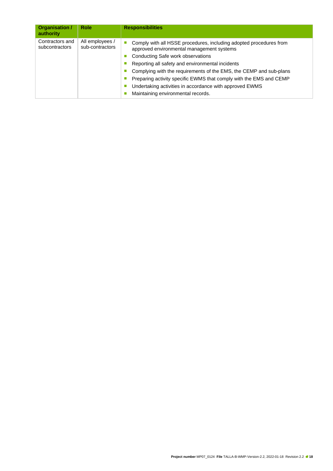| Organisation /<br>authority       | <b>Role</b>                        | <b>Responsibilities</b>                                                                                         |
|-----------------------------------|------------------------------------|-----------------------------------------------------------------------------------------------------------------|
| Contractors and<br>subcontractors | All employees /<br>sub-contractors | Comply with all HSSE procedures, including adopted procedures from<br>approved environmental management systems |
|                                   |                                    | Conducting Safe work observations                                                                               |
|                                   |                                    | Reporting all safety and environmental incidents                                                                |
|                                   |                                    | Complying with the requirements of the EMS, the CEMP and sub-plans                                              |
|                                   |                                    | Preparing activity specific EWMS that comply with the EMS and CEMP                                              |
|                                   |                                    | Undertaking activities in accordance with approved EWMS                                                         |
|                                   |                                    | Maintaining environmental records.                                                                              |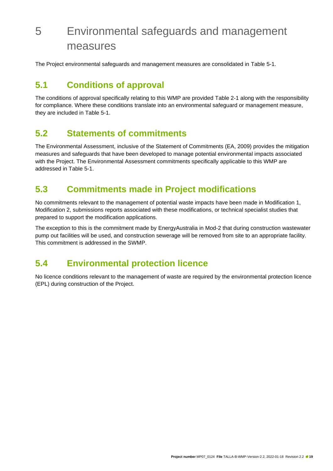# <span id="page-18-0"></span>5 Environmental safeguards and management measures

The Project environmental safeguards and management measures are consolidated in [Table 5-1.](#page-19-1)

### <span id="page-18-1"></span>**5.1 Conditions of approval**

The conditions of approval specifically relating to this WMP are provided [Table 2-1](#page-8-2) along with the responsibility for compliance. Where these conditions translate into an environmental safeguard or management measure, they are included in [Table 5-1.](#page-19-1)

### <span id="page-18-2"></span>**5.2 Statements of commitments**

The Environmental Assessment, inclusive of the Statement of Commitments (EA, 2009) provides the mitigation measures and safeguards that have been developed to manage potential environmental impacts associated with the Project. The Environmental Assessment commitments specifically applicable to this WMP are addressed in [Table 5-1.](#page-19-1)

### <span id="page-18-3"></span>**5.3 Commitments made in Project modifications**

No commitments relevant to the management of potential waste impacts have been made in Modification 1, Modification 2, submissions reports associated with these modifications, or technical specialist studies that prepared to support the modification applications.

The exception to this is the commitment made by EnergyAustralia in Mod-2 that during construction wastewater pump out facilities will be used, and construction sewerage will be removed from site to an appropriate facility. This commitment is addressed in the SWMP.

### <span id="page-18-4"></span>**5.4 Environmental protection licence**

No licence conditions relevant to the management of waste are required by the environmental protection licence (EPL) during construction of the Project.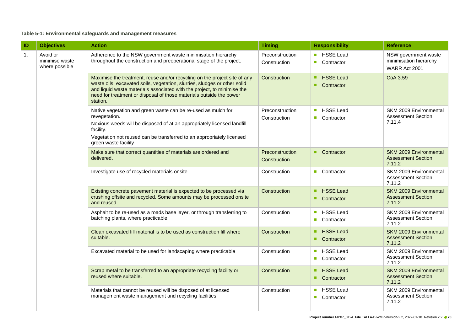#### **Table 5-1: Environmental safeguards and management measures**

<span id="page-19-1"></span><span id="page-19-0"></span>

| ID               | <b>Objectives</b>                            | <b>Action</b>                                                                                                                                                                                                                                                                                                        |                                 | <b>Responsibility</b>                                                                        | <b>Reference</b>                                                     |
|------------------|----------------------------------------------|----------------------------------------------------------------------------------------------------------------------------------------------------------------------------------------------------------------------------------------------------------------------------------------------------------------------|---------------------------------|----------------------------------------------------------------------------------------------|----------------------------------------------------------------------|
| $\overline{1}$ . | Avoid or<br>minimise waste<br>where possible | Adherence to the NSW government waste minimisation hierarchy<br>throughout the construction and preoperational stage of the project.                                                                                                                                                                                 | Preconstruction<br>Construction | HSSE Lead<br>$\mathcal{L}_{\mathcal{A}}$<br>Contractor<br>$\overline{\phantom{a}}$           | NSW government waste<br>minimisation hierarchy<br>WARR Act 2001      |
|                  |                                              | Maximise the treatment, reuse and/or recycling on the project site of any<br>waste oils, excavated soils, vegetation, slurries, sludges or other solid<br>and liquid waste materials associated with the project, to minimise the<br>need for treatment or disposal of those materials outside the power<br>station. | Construction                    | <b>HSSE Lead</b><br>٠<br>Contractor<br>٠                                                     | CoA 3.59                                                             |
|                  |                                              | Native vegetation and green waste can be re-used as mulch for<br>revegetation.<br>Noxious weeds will be disposed of at an appropriately licensed landfill<br>facility.<br>Vegetation not reused can be transferred to an appropriately licensed<br>green waste facility                                              | Preconstruction<br>Construction | <b>HSSE Lead</b><br>$\mathcal{L}_{\mathcal{A}}$<br>Contractor                                | SKM 2009 Environmental<br><b>Assessment Section</b><br>7.11.4        |
|                  |                                              | Make sure that correct quantities of materials are ordered and<br>delivered.                                                                                                                                                                                                                                         | Preconstruction<br>Construction | Contractor<br>٠                                                                              | SKM 2009 Environmental<br><b>Assessment Section</b><br>7.11.2        |
|                  |                                              | Investigate use of recycled materials onsite                                                                                                                                                                                                                                                                         | Construction                    | ■ Contractor                                                                                 | SKM 2009 Environmental<br><b>Assessment Section</b><br>7.11.2        |
|                  |                                              | Existing concrete pavement material is expected to be processed via<br>crushing offsite and recycled. Some amounts may be processed onsite<br>and reused.                                                                                                                                                            | Construction                    | <b>HSSE Lead</b><br>٠<br>٠<br>Contractor                                                     | SKM 2009 Environmental<br><b>Assessment Section</b><br>7.11.2        |
|                  |                                              | Asphalt to be re-used as a roads base layer, or through transferring to<br>batching plants, where practicable.                                                                                                                                                                                                       | Construction                    | <b>HSSE Lead</b><br>$\mathcal{L}_{\mathcal{A}}$<br>Contractor                                | SKM 2009 Environmental<br><b>Assessment Section</b><br>7.11.2        |
|                  |                                              | Clean excavated fill material is to be used as construction fill where<br>suitable.                                                                                                                                                                                                                                  | Construction                    | <b>HSSE Lead</b><br>٠<br>Contractor                                                          | <b>SKM 2009 Environmental</b><br><b>Assessment Section</b><br>7.11.2 |
|                  |                                              | Excavated material to be used for landscaping where practicable                                                                                                                                                                                                                                                      | Construction                    | HSSE Lead<br>$\mathcal{C}^{\mathcal{A}}$<br>Contractor<br>$\mathcal{C}^{\mathcal{A}}$        | SKM 2009 Environmental<br><b>Assessment Section</b><br>7.11.2        |
|                  |                                              | Scrap metal to be transferred to an appropriate recycling facility or<br>reused where suitable.                                                                                                                                                                                                                      | Construction                    | <b>HSSE Lead</b><br>п<br>Contractor<br>٠                                                     | <b>SKM 2009 Environmental</b><br><b>Assessment Section</b><br>7.11.2 |
|                  |                                              | Materials that cannot be reused will be disposed of at licensed<br>management waste management and recycling facilities.                                                                                                                                                                                             | Construction                    | <b>HSSE Lead</b><br>$\mathcal{L}_{\mathcal{A}}$<br>Contractor<br>$\mathcal{L}_{\mathcal{A}}$ | SKM 2009 Environmental<br><b>Assessment Section</b><br>7.11.2        |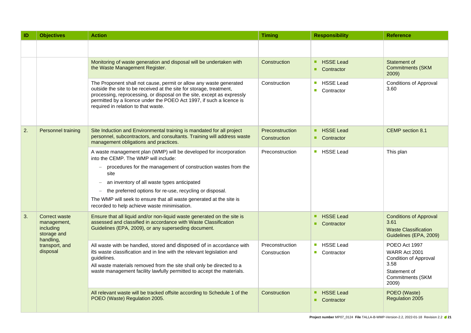| ID                         | <b>Objectives</b>                                                                                                                                                                                               | <b>Action</b>                                                                                                                                                                                                                                                                                                                      | <b>Timing</b>                   | <b>Responsibility</b>                                                                        | <b>Reference</b>                                                                                             |
|----------------------------|-----------------------------------------------------------------------------------------------------------------------------------------------------------------------------------------------------------------|------------------------------------------------------------------------------------------------------------------------------------------------------------------------------------------------------------------------------------------------------------------------------------------------------------------------------------|---------------------------------|----------------------------------------------------------------------------------------------|--------------------------------------------------------------------------------------------------------------|
|                            |                                                                                                                                                                                                                 |                                                                                                                                                                                                                                                                                                                                    |                                 |                                                                                              |                                                                                                              |
|                            |                                                                                                                                                                                                                 | Monitoring of waste generation and disposal will be undertaken with<br>the Waste Management Register.                                                                                                                                                                                                                              | Construction                    | <b>HSSE Lead</b><br>٠<br>Contractor<br>٠                                                     | Statement of<br><b>Commitments (SKM</b><br>2009)                                                             |
|                            |                                                                                                                                                                                                                 | The Proponent shall not cause, permit or allow any waste generated<br>outside the site to be received at the site for storage, treatment,<br>processing, reprocessing, or disposal on the site, except as expressly<br>permitted by a licence under the POEO Act 1997, if such a licence is<br>required in relation to that waste. | Construction                    | <b>HSSE Lead</b><br>$\mathcal{L}_{\mathcal{A}}$<br>$\mathcal{L}_{\mathcal{A}}$<br>Contractor | <b>Conditions of Approval</b><br>3.60                                                                        |
| 2.                         | Personnel training<br>Site Induction and Environmental training is mandated for all project<br>personnel, subcontractors, and consultants. Training will address waste<br>management obligations and practices. |                                                                                                                                                                                                                                                                                                                                    | Preconstruction<br>Construction | <b>HSSE Lead</b><br>Contractor<br>٠                                                          | CEMP section 8.1                                                                                             |
|                            |                                                                                                                                                                                                                 | A waste management plan (WMP) will be developed for incorporation<br>into the CEMP. The WMP will include:                                                                                                                                                                                                                          | Preconstruction                 | <b>HSSE Lead</b><br>$\mathcal{L}_{\mathcal{A}}$                                              | This plan                                                                                                    |
|                            |                                                                                                                                                                                                                 | procedures for the management of construction wastes from the<br>site<br>an inventory of all waste types anticipated                                                                                                                                                                                                               |                                 |                                                                                              |                                                                                                              |
|                            |                                                                                                                                                                                                                 | the preferred options for re-use, recycling or disposal.                                                                                                                                                                                                                                                                           |                                 |                                                                                              |                                                                                                              |
|                            |                                                                                                                                                                                                                 | The WMP will seek to ensure that all waste generated at the site is<br>recorded to help achieve waste minimisation.                                                                                                                                                                                                                |                                 |                                                                                              |                                                                                                              |
| 3.                         | Correct waste<br>management,<br>including<br>storage and<br>handling,                                                                                                                                           | Ensure that all liquid and/or non-liquid waste generated on the site is<br>assessed and classified in accordance with Waste Classification<br>Guidelines (EPA, 2009), or any superseding document.                                                                                                                                 |                                 | <b>HSSE Lead</b><br>٠<br>Contractor<br>٠                                                     | <b>Conditions of Approval</b><br>3.61<br><b>Waste Classification</b><br>Guidelines (EPA, 2009)               |
| transport, and<br>disposal |                                                                                                                                                                                                                 | All waste with be handled, stored and disposed of in accordance with<br>its waste classification and in line with the relevant legislation and<br>guidelines.<br>All waste materials removed from the site shall only be directed to a<br>waste management facility lawfully permitted to accept the materials.                    | Preconstruction<br>Construction | <b>HSSE Lead</b><br>$\mathcal{L}_{\mathcal{A}}$<br>Contractor<br>$\mathcal{C}^{\mathcal{A}}$ | POEO Act 1997<br>WARR Act 2001<br>Condition of Approval<br>3.58<br>Statement of<br>Commitments (SKM<br>2009) |
|                            |                                                                                                                                                                                                                 | All relevant waste will be tracked offsite according to Schedule 1 of the<br>POEO (Waste) Regulation 2005.                                                                                                                                                                                                                         | Construction                    | <b>HSSE Lead</b><br>٠<br>Contractor<br>٠                                                     | POEO (Waste)<br>Regulation 2005                                                                              |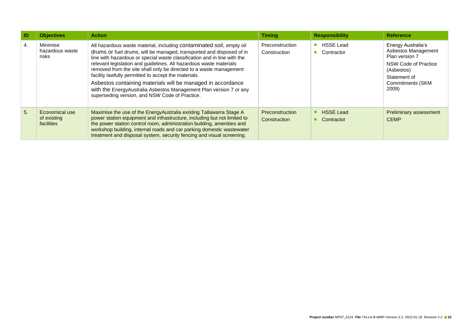| <b>ID</b> | <b>Objectives</b>                                  | <b>Timing</b><br><b>Action</b>                                                                                                                                                                                                                                                                                                                                                                                                                                                                                                                                                                                      |                                 | <b>Responsibility</b>                | <b>Reference</b>                                                                                                                               |
|-----------|----------------------------------------------------|---------------------------------------------------------------------------------------------------------------------------------------------------------------------------------------------------------------------------------------------------------------------------------------------------------------------------------------------------------------------------------------------------------------------------------------------------------------------------------------------------------------------------------------------------------------------------------------------------------------------|---------------------------------|--------------------------------------|------------------------------------------------------------------------------------------------------------------------------------------------|
| 4.        | Minimise<br>hazardous waste<br>risks               | All hazardous waste material, including contaminated soil, empty oil<br>drums or fuel drums, will be managed, transported and disposed of in<br>line with hazardous or special waste classification and in line with the<br>relevant legislation and guidelines. All hazardous waste materials<br>removed from the site shall only be directed to a waste management<br>facility lawfully permitted to accept the materials.<br>Asbestos containing materials will be managed in accordance<br>with the EnergyAustralia Asbestos Management Plan version 7 or any<br>superseding version, and NSW Code of Practice. | Preconstruction<br>Construction | <b>HSSE Lead</b><br>m.<br>Contractor | Energy Australia's<br>Asbestos Management<br>Plan version 7<br>NSW Code of Practice<br>(Asbestos)<br>Statement of<br>Commitments (SKM<br>2009) |
| 5.        | Economical use<br>of existing<br><b>facilities</b> | Maximise the use of the Energy Australia existing Tallawarra Stage A<br>power station equipment and infrastructure, including but not limited to<br>the power station control room, administration building, amenities and<br>workshop building, internal roads and car parking domestic wastewater<br>treatment and disposal system, security fencing and visual screening.                                                                                                                                                                                                                                        |                                 | <b>HSSE</b> Lead<br>Contractor       | <b>Preliminary assessment</b><br><b>CEMP</b>                                                                                                   |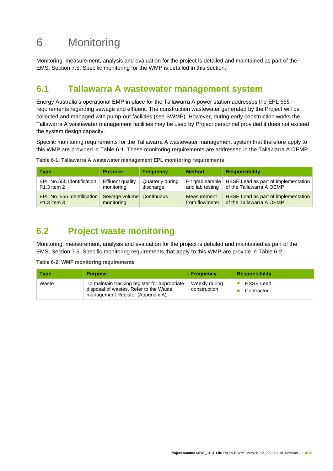# <span id="page-22-0"></span>6 Monitoring

Monitoring, measurement, analysis and evaluation for the project is detailed and maintained as part of the EMS, Section 7.5. Specific monitoring for the WMP is detailed in this section.

### <span id="page-22-1"></span>**6.1 Tallawarra A wastewater management system**

Energy Australia's operational EMP in place for the Tallawarra A power station addresses the EPL 555 requirements regarding sewage and effluent. The construction wastewater generated by the Project will be collected and managed with pump-out facilities (see SWMP). However, during early construction works the Tallawarra A wastewater management facilities may be used by Project personnel provided it does not exceed the system design capacity.

Specific monitoring requirements for the Tallawarra A wastewater management system that therefore apply to this WMP are provided in [Table 6-1.](#page-22-5) These monitoring requirements are addressed in the Tallawarra A OEMP.

<span id="page-22-5"></span><span id="page-22-3"></span>**Table 6-1: Tallawarra A wastewater management EPL monitoring requirements**

| <b>Type</b>                | <b>Purpose</b>           | <b>Frequency</b> | <b>Method</b>   | <b>Responsibility</b>                                 |
|----------------------------|--------------------------|------------------|-----------------|-------------------------------------------------------|
| EPL No.555 Identification  | <b>Effluent quality</b>  | Quarterly during | and lab testing | Pit grab sample   HSSE Lead as part of implementation |
| P1.3 item 2                | monitoring               | discharge        |                 | of the Tallawarra A OEMP                              |
| EPL No. 555 Identification | Sewage volume Continuous |                  | Measurement     | HSSE Lead as part of implementation                   |
| <b>P1.3</b> item 3         | monitoring               |                  | from flowmeter  | of the Tallawarra A OEMP                              |

### <span id="page-22-2"></span>**6.2 Project waste monitoring**

Monitoring, measurement, analysis and evaluation for the project is detailed and maintained as part of the EMS, Section 7.5. Specific monitoring requirements that apply to this WMP are provide in [Table 6-2.](#page-22-6)

<span id="page-22-6"></span><span id="page-22-4"></span>**Table 6-2: WMP monitoring requirements**

| <b>Type</b> | <b>Purpose</b>                                                                                                               | <b>Frequency</b>              | <b>Responsibility</b>          |
|-------------|------------------------------------------------------------------------------------------------------------------------------|-------------------------------|--------------------------------|
| Waste       | To maintain tracking register for appropriate<br>disposal of wastes. Refer to the Waste<br>management Register (Appendix A). | Weekly during<br>construction | <b>HSSE Lead</b><br>Contractor |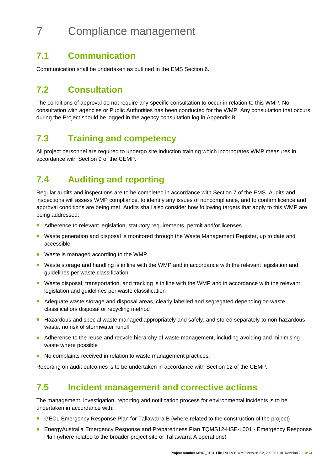# <span id="page-23-0"></span>7 Compliance management

### <span id="page-23-1"></span>**7.1 Communication**

Communication shall be undertaken as outlined in the EMS Section 6.

### <span id="page-23-2"></span>**7.2 Consultation**

The conditions of approval do not require any specific consultation to occur in relation to this WMP. No consultation with agencies or Public Authorities has been conducted for the WMP. Any consultation that occurs during the Project should be logged in the agency consultation log in Appendix B.

### <span id="page-23-3"></span>**7.3 Training and competency**

All project personnel are required to undergo site induction training which incorporates WMP measures in accordance with Section 9 of the CEMP.

### <span id="page-23-4"></span>**7.4 Auditing and reporting**

Regular audits and inspections are to be completed in accordance with Section 7 of the EMS. Audits and inspections will assess WMP compliance, to identify any issues of noncompliance, and to confirm licence and approval conditions are being met. Audits shall also consider how following targets that apply to this WMP are being addressed:

- Adherence to relevant legislation, statutory requirements, permit and/or licenses
- Waste generation and disposal is monitored through the Waste Management Register, up to date and accessible
- Waste is managed according to the WMP
- Waste storage and handling is in line with the WMP and in accordance with the relevant legislation and guidelines per waste classification
- Waste disposal, transportation, and tracking is in line with the WMP and in accordance with the relevant legislation and guidelines per waste classification
- Adequate waste storage and disposal areas, clearly labelled and segregated depending on waste classification/ disposal or recycling method
- Hazardous and special waste managed appropriately and safely, and stored separately to non-hazardous waste, no risk of stormwater runoff
- Adherence to the reuse and recycle hierarchy of waste management, including avoiding and minimising waste where possible
- No complaints received in relation to waste management practices.

Reporting on audit outcomes is to be undertaken in accordance with Section 12 of the CEMP.

### <span id="page-23-5"></span>**7.5 Incident management and corrective actions**

The management, investigation, reporting and notification process for environmental incidents is to be undertaken in accordance with:

- GECL Emergency Response Plan for Tallawarra B (where related to the construction of the project)
- EnergyAustralia Emergency Response and Preparedness Plan TQMS12-HSE-L001 Emergency Response Plan (where related to the broader project site or Tallawarra A operations)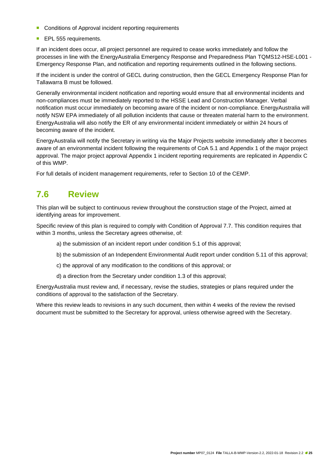- Conditions of Approval incident reporting requirements
- EPL 555 requirements.

If an incident does occur, all project personnel are required to cease works immediately and follow the processes in line with the EnergyAustralia Emergency Response and Preparedness Plan TQMS12-HSE-L001 - Emergency Response Plan, and notification and reporting requirements outlined in the following sections.

If the incident is under the control of GECL during construction, then the GECL Emergency Response Plan for Tallawarra B must be followed.

Generally environmental incident notification and reporting would ensure that all environmental incidents and non-compliances must be immediately reported to the HSSE Lead and Construction Manager. Verbal notification must occur immediately on becoming aware of the incident or non-compliance. EnergyAustralia will notify NSW EPA immediately of all pollution incidents that cause or threaten material harm to the environment. EnergyAustralia will also notify the ER of any environmental incident immediately or within 24 hours of becoming aware of the incident.

EnergyAustralia will notify the Secretary in writing via the Major Projects website immediately after it becomes aware of an environmental incident following the requirements of CoA 5.1 and Appendix 1 of the major project approval. The major project approval Appendix 1 incident reporting requirements are replicated in Appendix C of this WMP.

For full details of incident management requirements, refer to Section 10 of the CEMP.

### <span id="page-24-0"></span>**7.6 Review**

This plan will be subject to continuous review throughout the construction stage of the Project, aimed at identifying areas for improvement.

Specific review of this plan is required to comply with Condition of Approval 7.7. This condition requires that within 3 months, unless the Secretary agrees otherwise, of:

- a) the submission of an incident report under condition 5.1 of this approval;
- b) the submission of an Independent Environmental Audit report under condition 5.11 of this approval;
- c) the approval of any modification to the conditions of this approval; or
- d) a direction from the Secretary under condition 1.3 of this approval;

EnergyAustralia must review and, if necessary, revise the studies, strategies or plans required under the conditions of approval to the satisfaction of the Secretary.

Where this review leads to revisions in any such document, then within 4 weeks of the review the revised document must be submitted to the Secretary for approval, unless otherwise agreed with the Secretary.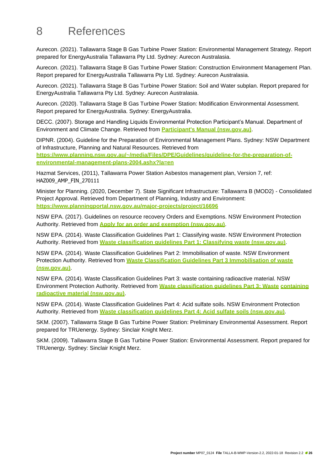## <span id="page-25-0"></span>8 References

Aurecon. (2021). Tallawarra Stage B Gas Turbine Power Station: Environmental Management Strategy. Report prepared for EnergyAustralia Tallawarra Pty Ltd. Sydney: Aurecon Australasia.

Aurecon. (2021). Tallawarra Stage B Gas Turbine Power Station: Construction Environment Management Plan. Report prepared for EnergyAustralia Tallawarra Pty Ltd. Sydney: Aurecon Australasia.

Aurecon. (2021). Tallawarra Stage B Gas Turbine Power Station: Soil and Water subplan. Report prepared for EnergyAustralia Tallawarra Pty Ltd. Sydney: Aurecon Australasia.

Aurecon. (2020). Tallawarra Stage B Gas Turbine Power Station: Modification Environmental Assessment. Report prepared for EnergyAustralia. Sydney: EnergyAustralia.

DECC. (2007). Storage and Handling Liquids Environmental Protection Participant's Manual. Department of Environment and Climate Change. Retrieved from **Participant's Manual (nsw.gov.au)**.

DIPNR. (2004). Guideline for the Preparation of Environmental Management Plans. Sydney: NSW Department of Infrastructure, Planning and Natural Resources. Retrieved from

https:/[/www.planning.nsw.gov.au/~/media/Files/DPE/Guidelines/guideline-for-the-preparation-of](http://www.planning.nsw.gov.au/~/media/Files/DPE/Guidelines/guideline-for-the-preparation-of-)**environmental-management-plans-2004.ashx?la=en**

Hazmat Services, (2011), Tallawarra Power Station Asbestos management plan, Version 7, ref: HAZ009\_AMP\_FIN\_270111

Minister for Planning. (2020, December 7). State Significant Infrastructure: Tallawarra B (MOD2) - Consolidated Project Approval. Retrieved from Department of Planning, Industry and Environment: **https:/[/www.planningportal.nsw.gov.au/major-projects/project/16696](http://www.planningportal.nsw.gov.au/major-projects/project/16696)**

NSW EPA. (2017). Guidelines on resource recovery Orders and Exemptions. NSW Environment Protection Authority. Retrieved from **Apply for an order and exemption (nsw.gov.au)**.

NSW EPA. (2014). Waste Classification Guidelines Part 1: Classifying waste. NSW Environment Protection Authority. Retrieved from **Waste classification guidelines Part 1: Classifying waste (nsw.gov.au)**.

NSW EPA. (2014). Waste Classification Guidelines Part 2: Immobilisation of waste. NSW Environment Protection Authority. Retrieved from **Waste Classification Guidelines Part 3 Immobilisation of waste (nsw.gov.au)**.

NSW EPA. (2014). Waste Classification Guidelines Part 3: waste containing radioactive material. NSW Environment Protection Authority. Retrieved from **Waste classification guidelines Part 3: Waste containing radioactive material (nsw.gov.au)**.

NSW EPA. (2014). Waste Classification Guidelines Part 4: Acid sulfate soils. NSW Environment Protection Authority. Retrieved from **Waste classification guidelines Part 4: Acid sulfate soils (nsw.gov.au)**.

SKM. (2007). Tallawarra Stage B Gas Turbine Power Station: Preliminary Environmental Assessment. Report prepared for TRUenergy. Sydney: Sinclair Knight Merz.

SKM. (2009). Tallawarra Stage B Gas Turbine Power Station: Environmental Assessment. Report prepared for TRUenergy. Sydney: Sinclair Knight Merz.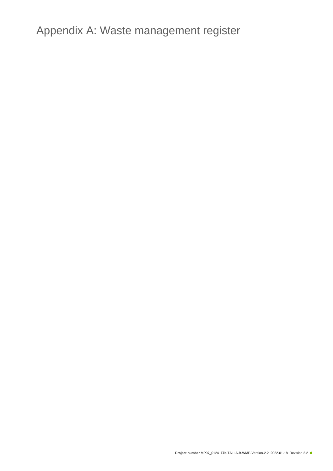<span id="page-26-0"></span>Appendix A: Waste management register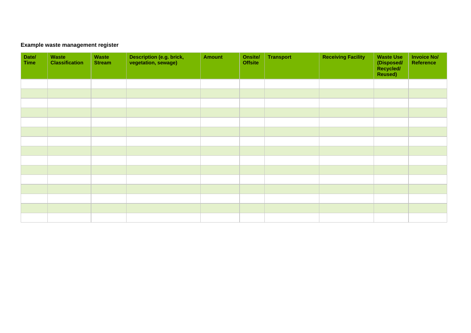#### **Example waste management register**

| Date/<br><b>Time</b> | Waste<br><b>Classification</b> | Waste<br><b>Stream</b> | Description (e.g. brick,<br>vegetation, sewage) | <b>Amount</b> | Onsite/<br><b>Offsite</b> | <b>Transport</b> | <b>Receiving Facility</b> | <b>Waste Use</b><br>(Disposed/<br>Recycled/<br>Reused) | <b>Invoice No/</b><br>Reference |
|----------------------|--------------------------------|------------------------|-------------------------------------------------|---------------|---------------------------|------------------|---------------------------|--------------------------------------------------------|---------------------------------|
|                      |                                |                        |                                                 |               |                           |                  |                           |                                                        |                                 |
|                      |                                |                        |                                                 |               |                           |                  |                           |                                                        |                                 |
|                      |                                |                        |                                                 |               |                           |                  |                           |                                                        |                                 |
|                      |                                |                        |                                                 |               |                           |                  |                           |                                                        |                                 |
|                      |                                |                        |                                                 |               |                           |                  |                           |                                                        |                                 |
|                      |                                |                        |                                                 |               |                           |                  |                           |                                                        |                                 |
|                      |                                |                        |                                                 |               |                           |                  |                           |                                                        |                                 |
|                      |                                |                        |                                                 |               |                           |                  |                           |                                                        |                                 |
|                      |                                |                        |                                                 |               |                           |                  |                           |                                                        |                                 |
|                      |                                |                        |                                                 |               |                           |                  |                           |                                                        |                                 |
|                      |                                |                        |                                                 |               |                           |                  |                           |                                                        |                                 |
|                      |                                |                        |                                                 |               |                           |                  |                           |                                                        |                                 |
|                      |                                |                        |                                                 |               |                           |                  |                           |                                                        |                                 |
|                      |                                |                        |                                                 |               |                           |                  |                           |                                                        |                                 |
|                      |                                |                        |                                                 |               |                           |                  |                           |                                                        |                                 |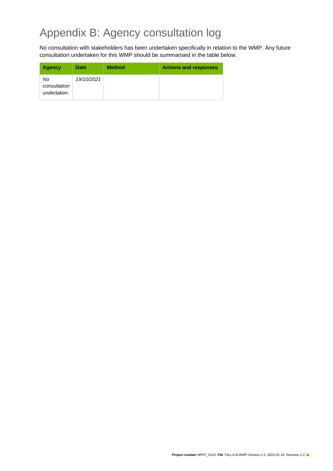# <span id="page-28-0"></span>Appendix B: Agency consultation log

No consultation with stakeholders has been undertaken specifically in relation to the WMP. Any future consultation undertaken for this WMP should be summarised in the table below.

| <b>Agency</b>                    | Date       | <b>Method</b> | <b>Actions and responses</b> |
|----------------------------------|------------|---------------|------------------------------|
| No<br>consultation<br>undertaken | 19/10/2021 |               |                              |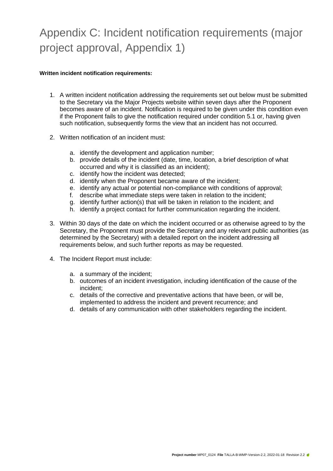# <span id="page-29-0"></span>Appendix C: Incident notification requirements (major project approval, Appendix 1)

#### **Written incident notification requirements:**

- 1. A written incident notification addressing the requirements set out below must be submitted to the Secretary via the Major Projects website within seven days after the Proponent becomes aware of an incident. Notification is required to be given under this condition even if the Proponent fails to give the notification required under condition 5.1 or, having given such notification, subsequently forms the view that an incident has not occurred.
- 2. Written notification of an incident must:
	- a. identify the development and application number;
	- b. provide details of the incident (date, time, location, a brief description of what occurred and why it is classified as an incident);
	- c. identify how the incident was detected;
	- d. identify when the Proponent became aware of the incident;
	- e. identify any actual or potential non-compliance with conditions of approval;
	- f. describe what immediate steps were taken in relation to the incident;
	- g. identify further action(s) that will be taken in relation to the incident; and
	- h. identify a project contact for further communication regarding the incident.
- 3. Within 30 days of the date on which the incident occurred or as otherwise agreed to by the Secretary, the Proponent must provide the Secretary and any relevant public authorities (as determined by the Secretary) with a detailed report on the incident addressing all requirements below, and such further reports as may be requested.
- 4. The Incident Report must include:
	- a. a summary of the incident;
	- b. outcomes of an incident investigation, including identification of the cause of the incident;
	- c. details of the corrective and preventative actions that have been, or will be, implemented to address the incident and prevent recurrence; and
	- d. details of any communication with other stakeholders regarding the incident.